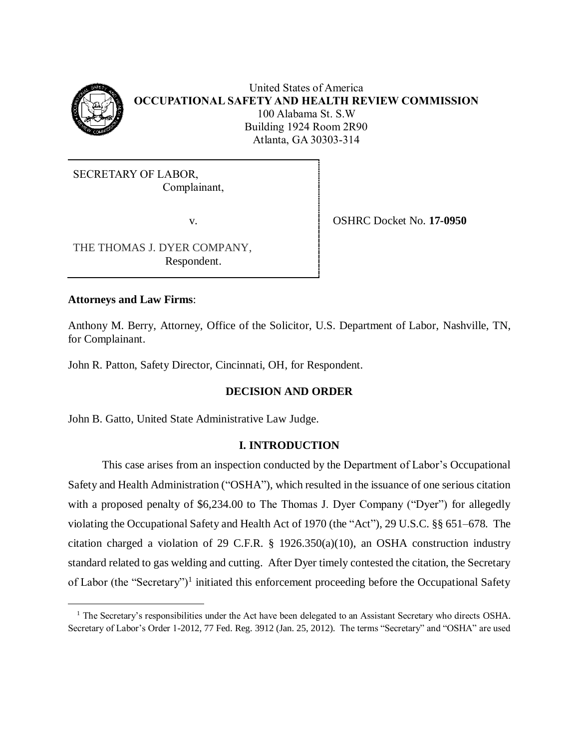

United States of America **OCCUPATIONAL SAFETY AND HEALTH REVIEW COMMISSION** 100 Alabama St. S.W Building 1924 Room 2R90 Atlanta, GA 30303-314

SECRETARY OF LABOR, Complainant,

v.

OSHRC Docket No. **17-0950**

THE THOMAS J. DYER COMPANY, Respondent.

# **Attorneys and Law Firms**:

a<br>B

Anthony M. Berry, Attorney, Office of the Solicitor, U.S. Department of Labor, Nashville, TN, for Complainant.

John R. Patton, Safety Director, Cincinnati, OH, for Respondent.

# **DECISION AND ORDER**

John B. Gatto, United State Administrative Law Judge.

# **I. INTRODUCTION**

This case arises from an inspection conducted by the Department of Labor's Occupational Safety and Health Administration ("OSHA"), which resulted in the issuance of one serious citation with a proposed penalty of \$6,234.00 to The Thomas J. Dyer Company ("Dyer") for allegedly violating the Occupational Safety and Health Act of 1970 (the "Act"), 29 U.S.C. §§ 651–678. The citation charged a violation of 29 C.F.R. § 1926.350(a)(10), an OSHA construction industry standard related to gas welding and cutting. After Dyer timely contested the citation, the Secretary of Labor (the "Secretary")<sup>1</sup> initiated this enforcement proceeding before the Occupational Safety

<sup>&</sup>lt;sup>1</sup> The Secretary's responsibilities under the Act have been delegated to an Assistant Secretary who directs OSHA. Secretary of Labor's Order 1-2012, 77 Fed. Reg. 3912 (Jan. 25, 2012). The terms "Secretary" and "OSHA" are used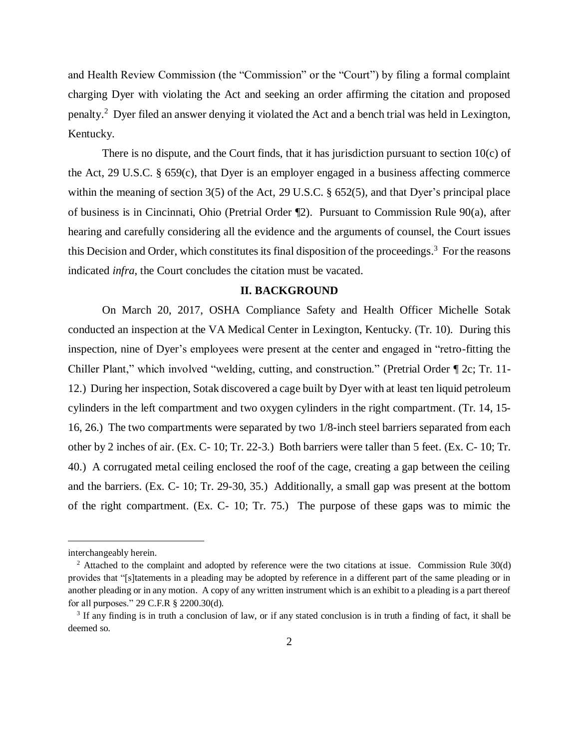and Health Review Commission (the "Commission" or the "Court") by filing a formal complaint charging Dyer with violating the Act and seeking an order affirming the citation and proposed penalty. 2 Dyer filed an answer denying it violated the Act and a bench trial was held in Lexington, Kentucky.

There is no dispute, and the Court finds, that it has jurisdiction pursuant to section  $10(c)$  of the Act, 29 U.S.C. § 659(c), that Dyer is an employer engaged in a business affecting commerce within the meaning of section 3(5) of the Act, 29 U.S.C. § 652(5), and that Dyer's principal place of business is in Cincinnati, Ohio (Pretrial Order ¶2). Pursuant to Commission Rule 90(a), after hearing and carefully considering all the evidence and the arguments of counsel, the Court issues this Decision and Order, which constitutes its final disposition of the proceedings.<sup>3</sup> For the reasons indicated *infra*, the Court concludes the citation must be vacated.

#### **II. BACKGROUND**

On March 20, 2017, OSHA Compliance Safety and Health Officer Michelle Sotak conducted an inspection at the VA Medical Center in Lexington, Kentucky. (Tr. 10). During this inspection, nine of Dyer's employees were present at the center and engaged in "retro-fitting the Chiller Plant," which involved "welding, cutting, and construction." (Pretrial Order ¶ 2c; Tr. 11- 12.) During her inspection, Sotak discovered a cage built by Dyer with at least ten liquid petroleum cylinders in the left compartment and two oxygen cylinders in the right compartment. (Tr. 14, 15- 16, 26.) The two compartments were separated by two 1/8-inch steel barriers separated from each other by 2 inches of air. (Ex. C- 10; Tr. 22-3.) Both barriers were taller than 5 feet. (Ex. C- 10; Tr. 40.) A corrugated metal ceiling enclosed the roof of the cage, creating a gap between the ceiling and the barriers. (Ex. C- 10; Tr. 29-30, 35.) Additionally, a small gap was present at the bottom of the right compartment. (Ex. C- 10; Tr. 75.) The purpose of these gaps was to mimic the

interchangeably herein.

<sup>&</sup>lt;sup>2</sup> Attached to the complaint and adopted by reference were the two citations at issue. Commission Rule 30(d) provides that "[s]tatements in a pleading may be adopted by reference in a different part of the same pleading or in another pleading or in any motion. A copy of any written instrument which is an exhibit to a pleading is a part thereof for all purposes." 29 C.F.R § 2200.30(d).

<sup>&</sup>lt;sup>3</sup> If any finding is in truth a conclusion of law, or if any stated conclusion is in truth a finding of fact, it shall be deemed so.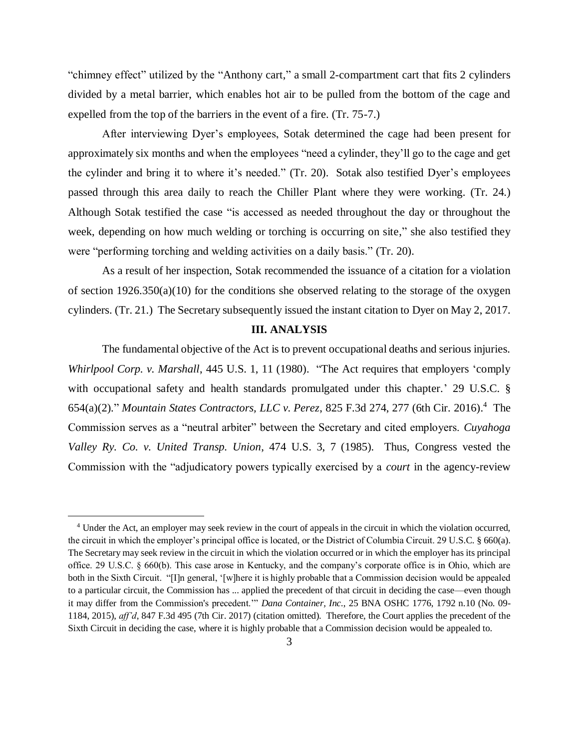"chimney effect" utilized by the "Anthony cart," a small 2-compartment cart that fits 2 cylinders divided by a metal barrier, which enables hot air to be pulled from the bottom of the cage and expelled from the top of the barriers in the event of a fire. (Tr. 75-7.)

After interviewing Dyer's employees, Sotak determined the cage had been present for approximately six months and when the employees "need a cylinder, they'll go to the cage and get the cylinder and bring it to where it's needed." (Tr. 20). Sotak also testified Dyer's employees passed through this area daily to reach the Chiller Plant where they were working. (Tr. 24.) Although Sotak testified the case "is accessed as needed throughout the day or throughout the week, depending on how much welding or torching is occurring on site," she also testified they were "performing torching and welding activities on a daily basis." (Tr. 20).

As a result of her inspection, Sotak recommended the issuance of a citation for a violation of section 1926.350(a)(10) for the conditions she observed relating to the storage of the oxygen cylinders. (Tr. 21.) The Secretary subsequently issued the instant citation to Dyer on May 2, 2017.

### **III. ANALYSIS**

The fundamental objective of the Act is to prevent occupational deaths and serious injuries. *Whirlpool Corp. v. Marshall*, 445 U.S. 1, 11 (1980). "The Act requires that employers 'comply with occupational safety and health standards promulgated under this chapter.' 29 U.S.C. § 654(a)(2)." *Mountain States Contractors, LLC v. Perez*, 825 F.3d 274, 277 (6th Cir. 2016). 4 The Commission serves as a "neutral arbiter" between the Secretary and cited employers. *Cuyahoga Valley Ry. Co. v. United Transp. Union*, 474 U.S. 3, 7 (1985). Thus, Congress vested the Commission with the "adjudicatory powers typically exercised by a *court* in the agency-review

<sup>4</sup> Under the Act, an employer may seek review in the court of appeals in the circuit in which the violation occurred, the circuit in which the employer's principal office is located, or the District of Columbia Circuit. 29 U.S.C. § 660(a). The Secretary may seek review in the circuit in which the violation occurred or in which the employer has its principal office. 29 U.S.C. § 660(b). This case arose in Kentucky, and the company's corporate office is in Ohio, which are both in the Sixth Circuit. "[I]n general, '[w]here it is highly probable that a Commission decision would be appealed to a particular circuit, the Commission has ... applied the precedent of that circuit in deciding the case—even though it may differ from the Commission's precedent.'" *Dana Container, Inc.*, 25 BNA OSHC 1776, 1792 n.10 (No. 09- 1184, 2015), *aff'd*, 847 F.3d 495 (7th Cir. 2017) (citation omitted). Therefore, the Court applies the precedent of the Sixth Circuit in deciding the case, where it is highly probable that a Commission decision would be appealed to.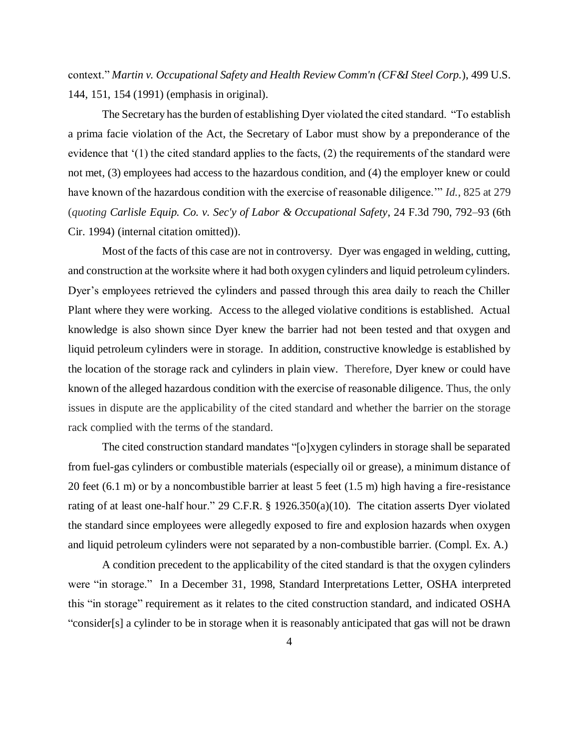context." *Martin v. Occupational Safety and Health Review Comm'n (CF&I Steel Corp.*), 499 U.S. 144, 151, 154 (1991) (emphasis in original).

The Secretary has the burden of establishing Dyer violated the cited standard. "To establish a prima facie violation of the Act, the Secretary of Labor must show by a preponderance of the evidence that '(1) the cited standard applies to the facts, (2) the requirements of the standard were not met, (3) employees had access to the hazardous condition, and (4) the employer knew or could have known of the hazardous condition with the exercise of reasonable diligence.'" *Id.*, 825 at 279 (*quoting Carlisle Equip. Co. v. Sec'y of Labor & Occupational Safety*, 24 F.3d 790, 792–93 (6th Cir. 1994) (internal citation omitted)).

Most of the facts of this case are not in controversy. Dyer was engaged in welding, cutting, and construction at the worksite where it had both oxygen cylinders and liquid petroleum cylinders. Dyer's employees retrieved the cylinders and passed through this area daily to reach the Chiller Plant where they were working. Access to the alleged violative conditions is established. Actual knowledge is also shown since Dyer knew the barrier had not been tested and that oxygen and liquid petroleum cylinders were in storage. In addition, constructive knowledge is established by the location of the storage rack and cylinders in plain view. Therefore, Dyer knew or could have known of the alleged hazardous condition with the exercise of reasonable diligence. Thus, the only issues in dispute are the applicability of the cited standard and whether the barrier on the storage rack complied with the terms of the standard.

The cited construction standard mandates "[o]xygen cylinders in storage shall be separated from fuel-gas cylinders or combustible materials (especially oil or grease), a minimum distance of 20 feet (6.1 m) or by a noncombustible barrier at least 5 feet (1.5 m) high having a fire-resistance rating of at least one-half hour." 29 C.F.R. § 1926.350(a)(10). The citation asserts Dyer violated the standard since employees were allegedly exposed to fire and explosion hazards when oxygen and liquid petroleum cylinders were not separated by a non-combustible barrier. (Compl. Ex. A.)

A condition precedent to the applicability of the cited standard is that the oxygen cylinders were "in storage." In a December 31, 1998, Standard Interpretations Letter, OSHA interpreted this "in storage" requirement as it relates to the cited construction standard, and indicated OSHA "consider[s] a cylinder to be in storage when it is reasonably anticipated that gas will not be drawn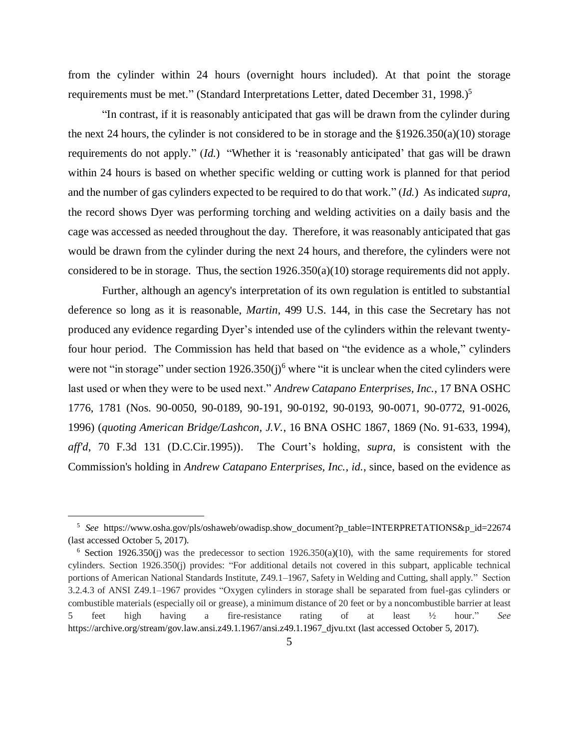from the cylinder within 24 hours (overnight hours included). At that point the storage requirements must be met." (Standard Interpretations Letter, dated December 31, 1998.)<sup>5</sup>

"In contrast, if it is reasonably anticipated that gas will be drawn from the cylinder during the next 24 hours, the cylinder is not considered to be in storage and the §1926.350(a)(10) storage requirements do not apply." (*Id.*) "Whether it is 'reasonably anticipated' that gas will be drawn within 24 hours is based on whether specific welding or cutting work is planned for that period and the number of gas cylinders expected to be required to do that work." (*Id.*) As indicated *supra*, the record shows Dyer was performing torching and welding activities on a daily basis and the cage was accessed as needed throughout the day. Therefore, it was reasonably anticipated that gas would be drawn from the cylinder during the next 24 hours, and therefore, the cylinders were not considered to be in storage. Thus, the section 1926.350(a)(10) storage requirements did not apply.

Further, although an agency's interpretation of its own regulation is entitled to substantial deference so long as it is reasonable, *Martin*, 499 U.S. 144, in this case the Secretary has not produced any evidence regarding Dyer's intended use of the cylinders within the relevant twentyfour hour period. The Commission has held that based on "the evidence as a whole," cylinders were not "in storage" under section  $1926.350(j)^6$  where "it is unclear when the cited cylinders were last used or when they were to be used next." *Andrew Catapano Enterprises, Inc.*, 17 BNA OSHC 1776, 1781 (Nos. 90-0050, 90-0189, 90-191, 90-0192, 90-0193, 90-0071, 90-0772, 91-0026, 1996) (*quoting American Bridge/Lashcon, J.V.*, 16 BNA OSHC 1867, 1869 (No. 91-633, 1994), *aff'd*, 70 F.3d 131 (D.C.Cir.1995)). The Court's holding, *supra*, is consistent with the Commission's holding in *Andrew Catapano Enterprises, Inc.*, *id.*, since, based on the evidence as

<sup>5</sup> *See* https://www.osha.gov/pls/oshaweb/owadisp.show\_document?p\_table=INTERPRETATIONS&p\_id=22674 (last accessed October 5, 2017).

<sup>&</sup>lt;sup>6</sup> Section 1926.350(j) was the predecessor to section 1926.350(a)(10), with the same requirements for stored cylinders. Section 1926.350(j) provides: "For additional details not covered in this subpart, applicable technical portions of American National Standards Institute, Z49.1–1967, Safety in Welding and Cutting, shall apply." Section 3.2.4.3 of ANSI Z49.1–1967 provides "Oxygen cylinders in storage shall be separated from fuel-gas cylinders or combustible materials (especially oil or grease), a minimum distance of 20 feet or by a noncombustible barrier at least 5 feet high having a fire-resistance rating of at least ½ hour." *See* https://archive.org/stream/gov.law.ansi.z49.1.1967/ansi.z49.1.1967\_djvu.txt (last accessed October 5, 2017).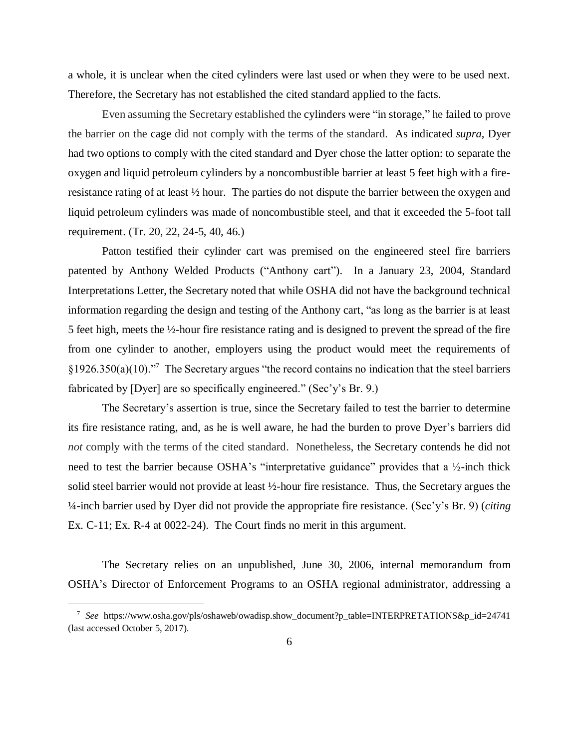a whole, it is unclear when the cited cylinders were last used or when they were to be used next. Therefore, the Secretary has not established the cited standard applied to the facts.

Even assuming the Secretary established the cylinders were "in storage," he failed to prove the barrier on the cage did not comply with the terms of the standard. As indicated *supra*, Dyer had two options to comply with the cited standard and Dyer chose the latter option: to separate the oxygen and liquid petroleum cylinders by a noncombustible barrier at least 5 feet high with a fireresistance rating of at least ½ hour. The parties do not dispute the barrier between the oxygen and liquid petroleum cylinders was made of noncombustible steel, and that it exceeded the 5-foot tall requirement. (Tr. 20, 22, 24-5, 40, 46.)

Patton testified their cylinder cart was premised on the engineered steel fire barriers patented by Anthony Welded Products ("Anthony cart"). In a January 23, 2004, Standard Interpretations Letter, the Secretary noted that while OSHA did not have the background technical information regarding the design and testing of the Anthony cart, "as long as the barrier is at least 5 feet high, meets the ½-hour fire resistance rating and is designed to prevent the spread of the fire from one cylinder to another, employers using the product would meet the requirements of  $§1926.350(a)(10).$ <sup>7</sup> The Secretary argues "the record contains no indication that the steel barriers" fabricated by [Dyer] are so specifically engineered." (Sec'y's Br. 9.)

The Secretary's assertion is true, since the Secretary failed to test the barrier to determine its fire resistance rating, and, as he is well aware, he had the burden to prove Dyer's barriers did *not* comply with the terms of the cited standard. Nonetheless, the Secretary contends he did not need to test the barrier because OSHA's "interpretative guidance" provides that a ½-inch thick solid steel barrier would not provide at least ½-hour fire resistance. Thus, the Secretary argues the ¼-inch barrier used by Dyer did not provide the appropriate fire resistance. (Sec'y's Br. 9) (*citing* Ex. C-11; Ex. R-4 at 0022-24). The Court finds no merit in this argument.

The Secretary relies on an unpublished, June 30, 2006, internal memorandum from OSHA's Director of Enforcement Programs to an OSHA regional administrator, addressing a

<sup>7</sup> *See* https://www.osha.gov/pls/oshaweb/owadisp.show\_document?p\_table=INTERPRETATIONS&p\_id=24741 (last accessed October 5, 2017).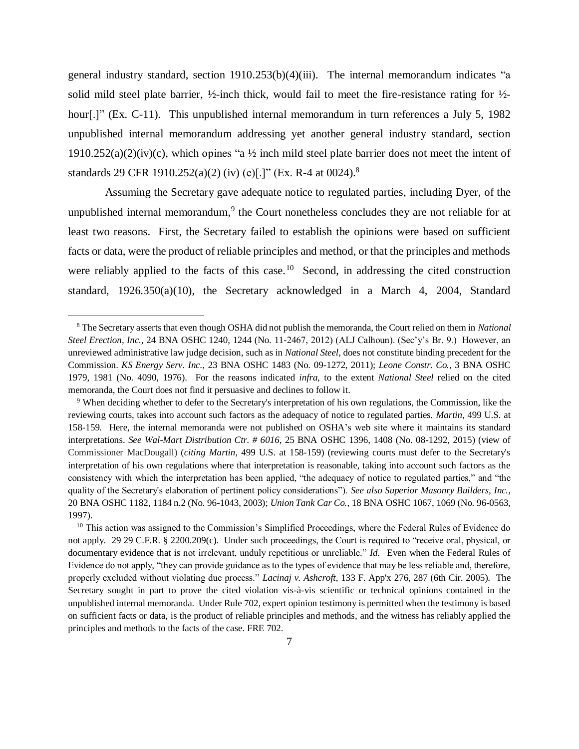general industry standard, section 1910.253(b)(4)(iii). The internal memorandum indicates "a solid mild steel plate barrier,  $\frac{1}{2}$ -inch thick, would fail to meet the fire-resistance rating for  $\frac{1}{2}$ hour[.]" (Ex. C-11). This unpublished internal memorandum in turn references a July 5, 1982 unpublished internal memorandum addressing yet another general industry standard, section  $1910.252(a)(2)(iv)(c)$ , which opines "a  $\frac{1}{2}$  inch mild steel plate barrier does not meet the intent of standards 29 CFR 1910.252(a)(2) (iv) (e)[.]" (Ex. R-4 at 0024).<sup>8</sup>

Assuming the Secretary gave adequate notice to regulated parties, including Dyer, of the unpublished internal memorandum,<sup>9</sup> the Court nonetheless concludes they are not reliable for at least two reasons. First, the Secretary failed to establish the opinions were based on sufficient facts or data, were the product of reliable principles and method, or that the principles and methods were reliably applied to the facts of this case.<sup>10</sup> Second, in addressing the cited construction standard, 1926.350(a)(10), the Secretary acknowledged in a March 4, 2004, Standard

<sup>8</sup> The Secretary asserts that even though OSHA did not publish the memoranda, the Court relied on them in *National Steel Erection, Inc.*, 24 BNA OSHC 1240, 1244 (No. 11-2467, 2012) (ALJ Calhoun). (Sec'y's Br. 9.) However, an unreviewed administrative law judge decision, such as in *National Steel*, does not constitute binding precedent for the Commission. *KS Energy Serv. Inc.*, 23 BNA OSHC 1483 (No. 09-1272, 2011); *Leone Constr. Co.*, 3 BNA OSHC 1979, 1981 (No. 4090, 1976). For the reasons indicated *infra*, to the extent *National Steel* relied on the cited memoranda, the Court does not find it persuasive and declines to follow it.

<sup>9</sup> When deciding whether to defer to the Secretary's interpretation of his own regulations, the Commission, like the reviewing courts, takes into account such factors as the adequacy of notice to regulated parties. *Martin*, 499 U.S. at 158-159. Here, the internal memoranda were not published on OSHA's web site where it maintains its standard interpretations. *See Wal-Mart Distribution Ctr. # 6016*, 25 BNA OSHC 1396, 1408 (No. 08-1292, 2015) (view of Commissioner MacDougall) (*citing Martin*, 499 U.S. at 158-159) (reviewing courts must defer to the Secretary's interpretation of his own regulations where that interpretation is reasonable, taking into account such factors as the consistency with which the interpretation has been applied, "the adequacy of notice to regulated parties," and "the quality of the Secretary's elaboration of pertinent policy considerations"). *See also Superior Masonry Builders, Inc.*, 20 BNA OSHC 1182, 1184 n.2 (No. 96-1043, 2003); *Union Tank Car Co.*, 18 BNA OSHC 1067, 1069 (No. 96-0563, 1997).

<sup>&</sup>lt;sup>10</sup> This action was assigned to the Commission's Simplified Proceedings, where the Federal Rules of Evidence do not apply. 29 29 C.F.R. § 2200.209(c). Under such proceedings, the Court is required to "receive oral, physical, or documentary evidence that is not irrelevant, unduly repetitious or unreliable." *Id.* Even when the Federal Rules of Evidence do not apply, "they can provide guidance as to the types of evidence that may be less reliable and, therefore, properly excluded without violating due process." *Lacinaj v. Ashcroft*, 133 F. App'x 276, 287 (6th Cir. 2005). The Secretary sought in part to prove the cited violation vis-à-vis scientific or technical opinions contained in the unpublished internal memoranda. Under Rule 702, expert opinion testimony is permitted when the testimony is based on sufficient facts or data, is the product of reliable principles and methods, and the witness has reliably applied the principles and methods to the facts of the case. FRE 702.